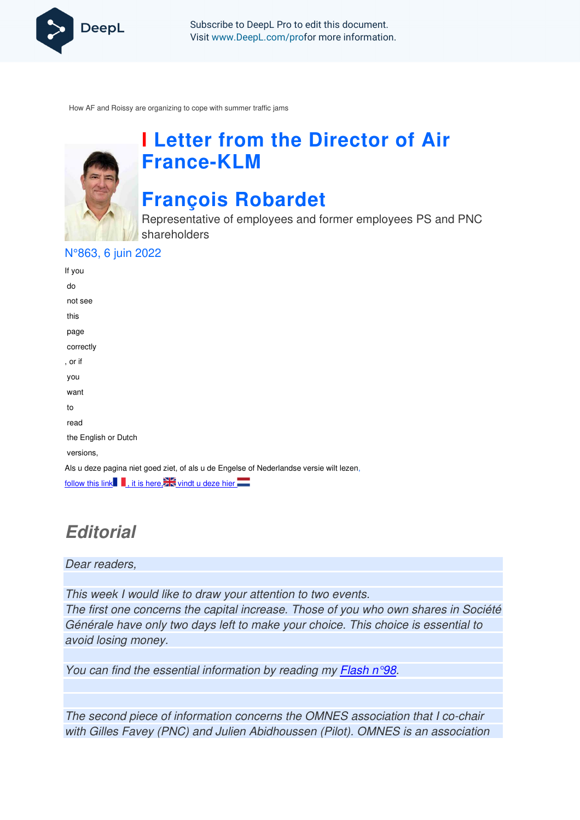

Subscribe to DeepL Pro to edit this document. Visit www.DeepL.com/profor more information.

How AF and Roissy are organizing to cope with summer traffic jams



# **I Letter from the Director of Air France-KLM**

# **François Robardet**

Representative of employees and former employees PS and PNC shareholders

N°863, 6 juin 2022

| If you                                                                                  |
|-----------------------------------------------------------------------------------------|
| do                                                                                      |
| not see                                                                                 |
| this                                                                                    |
| page                                                                                    |
| correctly                                                                               |
| , or if                                                                                 |
| you                                                                                     |
| want                                                                                    |
| to                                                                                      |
| read                                                                                    |
| the English or Dutch                                                                    |
| versions,                                                                               |
| Als u deze pagina niet goed ziet, of als u de Engelse of Nederlandse versie wilt lezen, |
| follow this link it is here.                                                            |

# **Editorial**

Dear readers,

This week I would like to draw your attention to two events. The first one concerns the capital increase. Those of you who own shares in Société Générale have only two days left to make your choice. This choice is essential to avoid losing money.

You can find the essential information by reading my Flash  $n^{\circ}98$ .

The second piece of information concerns the OMNES association that I co-chair with Gilles Favey (PNC) and Julien Abidhoussen (Pilot). OMNES is an association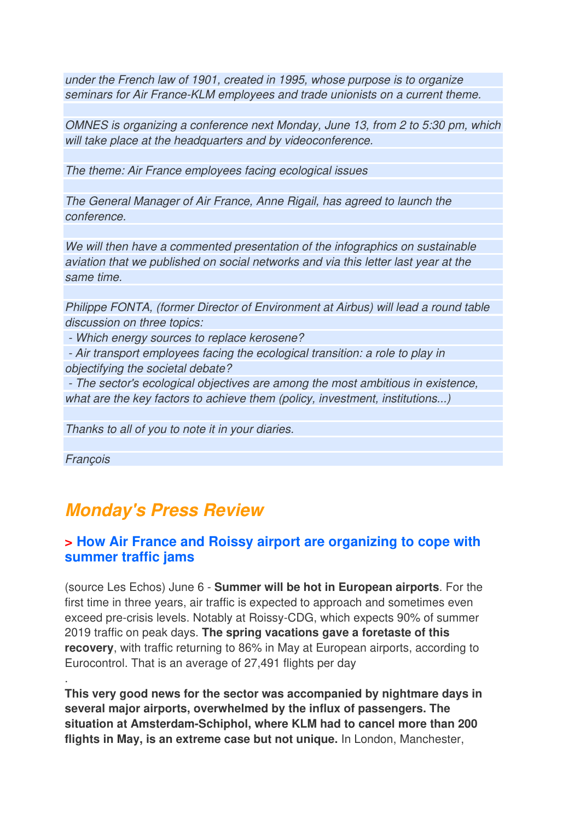under the French law of 1901, created in 1995, whose purpose is to organize seminars for Air France-KLM employees and trade unionists on a current theme.

OMNES is organizing a conference next Monday, June 13, from 2 to 5:30 pm, which will take place at the headquarters and by videoconference.

The theme: Air France employees facing ecological issues

The General Manager of Air France, Anne Rigail, has agreed to launch the conference.

We will then have a commented presentation of the infographics on sustainable aviation that we published on social networks and via this letter last year at the same time.

Philippe FONTA, (former Director of Environment at Airbus) will lead a round table discussion on three topics:

- Which energy sources to replace kerosene?

 - Air transport employees facing the ecological transition: a role to play in objectifying the societal debate?

 - The sector's ecological objectives are among the most ambitious in existence, what are the key factors to achieve them (policy, investment, institutions...)

Thanks to all of you to note it in your diaries.

François

.

## **Monday's Press Review**

### **> How Air France and Roissy airport are organizing to cope with summer traffic jams**

(source Les Echos) June 6 - **Summer will be hot in European airports**. For the first time in three years, air traffic is expected to approach and sometimes even exceed pre-crisis levels. Notably at Roissy-CDG, which expects 90% of summer 2019 traffic on peak days. **The spring vacations gave a foretaste of this recovery**, with traffic returning to 86% in May at European airports, according to Eurocontrol. That is an average of 27,491 flights per day

**This very good news for the sector was accompanied by nightmare days in several major airports, overwhelmed by the influx of passengers. The situation at Amsterdam-Schiphol, where KLM had to cancel more than 200 flights in May, is an extreme case but not unique.** In London, Manchester,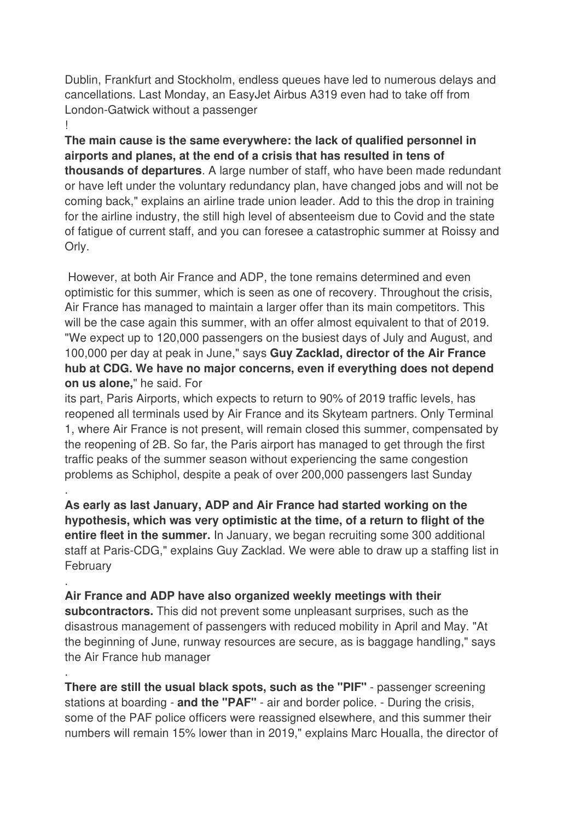Dublin, Frankfurt and Stockholm, endless queues have led to numerous delays and cancellations. Last Monday, an EasyJet Airbus A319 even had to take off from London-Gatwick without a passenger

!

.

.

.

**The main cause is the same everywhere: the lack of qualified personnel in airports and planes, at the end of a crisis that has resulted in tens of thousands of departures**. A large number of staff, who have been made redundant or have left under the voluntary redundancy plan, have changed jobs and will not be coming back," explains an airline trade union leader. Add to this the drop in training for the airline industry, the still high level of absenteeism due to Covid and the state of fatigue of current staff, and you can foresee a catastrophic summer at Roissy and Orly.

 However, at both Air France and ADP, the tone remains determined and even optimistic for this summer, which is seen as one of recovery. Throughout the crisis, Air France has managed to maintain a larger offer than its main competitors. This will be the case again this summer, with an offer almost equivalent to that of 2019. "We expect up to 120,000 passengers on the busiest days of July and August, and 100,000 per day at peak in June," says **Guy Zacklad, director of the Air France hub at CDG. We have no major concerns, even if everything does not depend on us alone,**" he said. For

its part, Paris Airports, which expects to return to 90% of 2019 traffic levels, has reopened all terminals used by Air France and its Skyteam partners. Only Terminal 1, where Air France is not present, will remain closed this summer, compensated by the reopening of 2B. So far, the Paris airport has managed to get through the first traffic peaks of the summer season without experiencing the same congestion problems as Schiphol, despite a peak of over 200,000 passengers last Sunday

**As early as last January, ADP and Air France had started working on the hypothesis, which was very optimistic at the time, of a return to flight of the entire fleet in the summer.** In January, we began recruiting some 300 additional staff at Paris-CDG," explains Guy Zacklad. We were able to draw up a staffing list in February

**Air France and ADP have also organized weekly meetings with their subcontractors.** This did not prevent some unpleasant surprises, such as the disastrous management of passengers with reduced mobility in April and May. "At the beginning of June, runway resources are secure, as is baggage handling," says the Air France hub manager

**There are still the usual black spots, such as the "PIF"** - passenger screening stations at boarding - **and the "PAF"** - air and border police. - During the crisis, some of the PAF police officers were reassigned elsewhere, and this summer their numbers will remain 15% lower than in 2019," explains Marc Houalla, the director of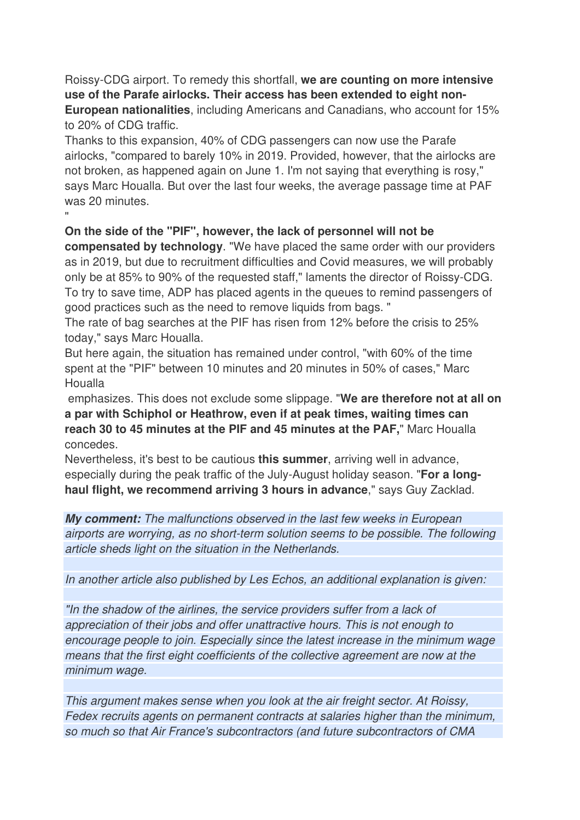Roissy-CDG airport. To remedy this shortfall, **we are counting on more intensive use of the Parafe airlocks. Their access has been extended to eight non-European nationalities**, including Americans and Canadians, who account for 15% to 20% of CDG traffic.

Thanks to this expansion, 40% of CDG passengers can now use the Parafe airlocks, "compared to barely 10% in 2019. Provided, however, that the airlocks are not broken, as happened again on June 1. I'm not saying that everything is rosy," says Marc Houalla. But over the last four weeks, the average passage time at PAF was 20 minutes.

### **On the side of the "PIF", however, the lack of personnel will not be**

"

**compensated by technology**. "We have placed the same order with our providers as in 2019, but due to recruitment difficulties and Covid measures, we will probably only be at 85% to 90% of the requested staff," laments the director of Roissy-CDG. To try to save time, ADP has placed agents in the queues to remind passengers of good practices such as the need to remove liquids from bags. "

The rate of bag searches at the PIF has risen from 12% before the crisis to 25% today," says Marc Houalla.

But here again, the situation has remained under control, "with 60% of the time spent at the "PIF" between 10 minutes and 20 minutes in 50% of cases," Marc Houalla

 emphasizes. This does not exclude some slippage. "**We are therefore not at all on a par with Schiphol or Heathrow, even if at peak times, waiting times can reach 30 to 45 minutes at the PIF and 45 minutes at the PAF,**" Marc Houalla concedes.

Nevertheless, it's best to be cautious **this summer**, arriving well in advance, especially during the peak traffic of the July-August holiday season. "**For a longhaul flight, we recommend arriving 3 hours in advance**," says Guy Zacklad.

**My comment:** The malfunctions observed in the last few weeks in European airports are worrying, as no short-term solution seems to be possible. The following article sheds light on the situation in the Netherlands.

In another article also published by Les Echos, an additional explanation is given:

"In the shadow of the airlines, the service providers suffer from a lack of appreciation of their jobs and offer unattractive hours. This is not enough to encourage people to join. Especially since the latest increase in the minimum wage means that the first eight coefficients of the collective agreement are now at the minimum wage.

This argument makes sense when you look at the air freight sector. At Roissy, Fedex recruits agents on permanent contracts at salaries higher than the minimum, so much so that Air France's subcontractors (and future subcontractors of CMA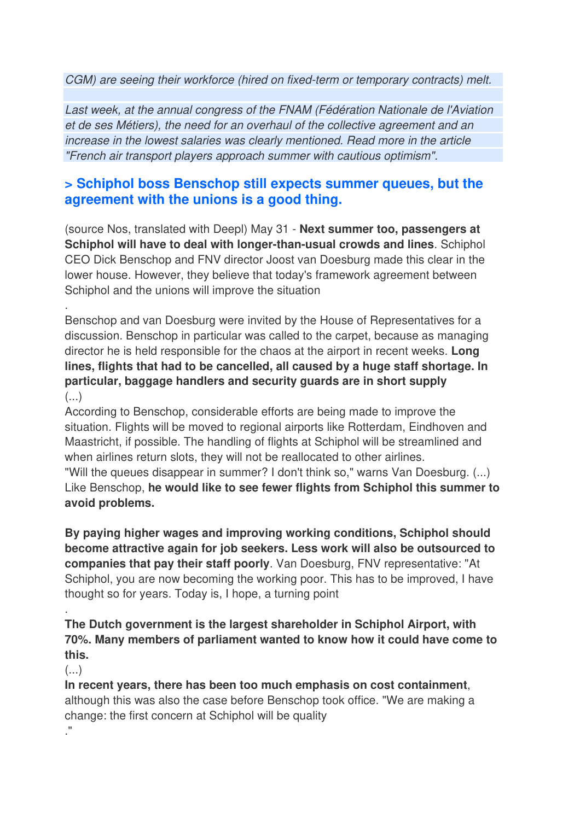CGM) are seeing their workforce (hired on fixed-term or temporary contracts) melt.

Last week, at the annual congress of the FNAM (Fédération Nationale de l'Aviation et de ses Métiers), the need for an overhaul of the collective agreement and an increase in the lowest salaries was clearly mentioned. Read more in the article "French air transport players approach summer with cautious optimism".

### **> Schiphol boss Benschop still expects summer queues, but the agreement with the unions is a good thing.**

(source Nos, translated with Deepl) May 31 - **Next summer too, passengers at Schiphol will have to deal with longer-than-usual crowds and lines**. Schiphol CEO Dick Benschop and FNV director Joost van Doesburg made this clear in the lower house. However, they believe that today's framework agreement between Schiphol and the unions will improve the situation

Benschop and van Doesburg were invited by the House of Representatives for a discussion. Benschop in particular was called to the carpet, because as managing director he is held responsible for the chaos at the airport in recent weeks. **Long lines, flights that had to be cancelled, all caused by a huge staff shortage. In particular, baggage handlers and security guards are in short supply**  (...)

According to Benschop, considerable efforts are being made to improve the situation. Flights will be moved to regional airports like Rotterdam, Eindhoven and Maastricht, if possible. The handling of flights at Schiphol will be streamlined and when airlines return slots, they will not be reallocated to other airlines. "Will the queues disappear in summer? I don't think so," warns Van Doesburg. (...) Like Benschop, **he would like to see fewer flights from Schiphol this summer to avoid problems.** 

**By paying higher wages and improving working conditions, Schiphol should become attractive again for job seekers. Less work will also be outsourced to companies that pay their staff poorly**. Van Doesburg, FNV representative: "At Schiphol, you are now becoming the working poor. This has to be improved, I have thought so for years. Today is, I hope, a turning point

**The Dutch government is the largest shareholder in Schiphol Airport, with 70%. Many members of parliament wanted to know how it could have come to this.** 

 $(\ldots)$ 

.

.

**In recent years, there has been too much emphasis on cost containment**, although this was also the case before Benschop took office. "We are making a change: the first concern at Schiphol will be quality ."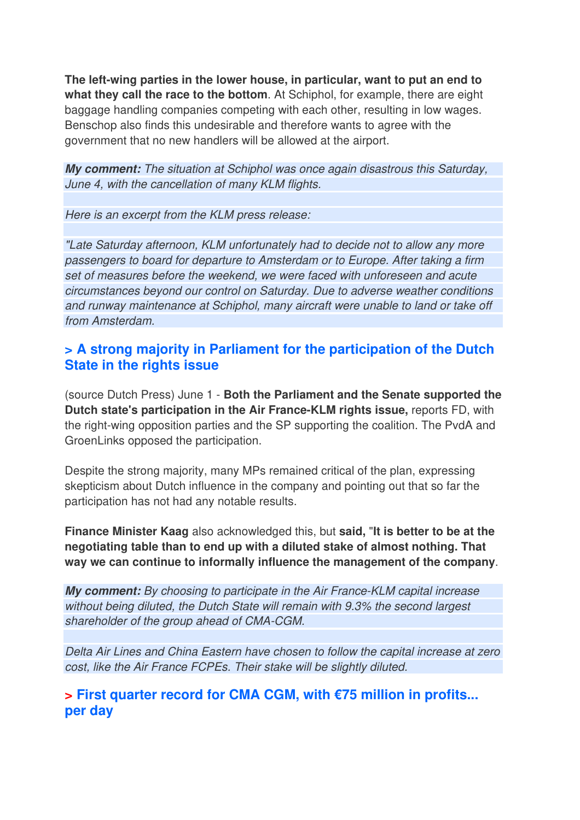**The left-wing parties in the lower house, in particular, want to put an end to what they call the race to the bottom**. At Schiphol, for example, there are eight baggage handling companies competing with each other, resulting in low wages. Benschop also finds this undesirable and therefore wants to agree with the government that no new handlers will be allowed at the airport.

**My comment:** The situation at Schiphol was once again disastrous this Saturday, June 4, with the cancellation of many KLM flights.

Here is an excerpt from the KLM press release:

"Late Saturday afternoon, KLM unfortunately had to decide not to allow any more passengers to board for departure to Amsterdam or to Europe. After taking a firm set of measures before the weekend, we were faced with unforeseen and acute circumstances beyond our control on Saturday. Due to adverse weather conditions and runway maintenance at Schiphol, many aircraft were unable to land or take off from Amsterdam.

### **> A strong majority in Parliament for the participation of the Dutch State in the rights issue**

(source Dutch Press) June 1 - **Both the Parliament and the Senate supported the Dutch state's participation in the Air France-KLM rights issue,** reports FD, with the right-wing opposition parties and the SP supporting the coalition. The PvdA and GroenLinks opposed the participation.

Despite the strong majority, many MPs remained critical of the plan, expressing skepticism about Dutch influence in the company and pointing out that so far the participation has not had any notable results.

**Finance Minister Kaag** also acknowledged this, but **said,** "**It is better to be at the negotiating table than to end up with a diluted stake of almost nothing. That way we can continue to informally influence the management of the company**.

**My comment:** By choosing to participate in the Air France-KLM capital increase without being diluted, the Dutch State will remain with 9.3% the second largest shareholder of the group ahead of CMA-CGM.

Delta Air Lines and China Eastern have chosen to follow the capital increase at zero cost, like the Air France FCPEs. Their stake will be slightly diluted.

### **> First quarter record for CMA CGM, with €75 million in profits... per day**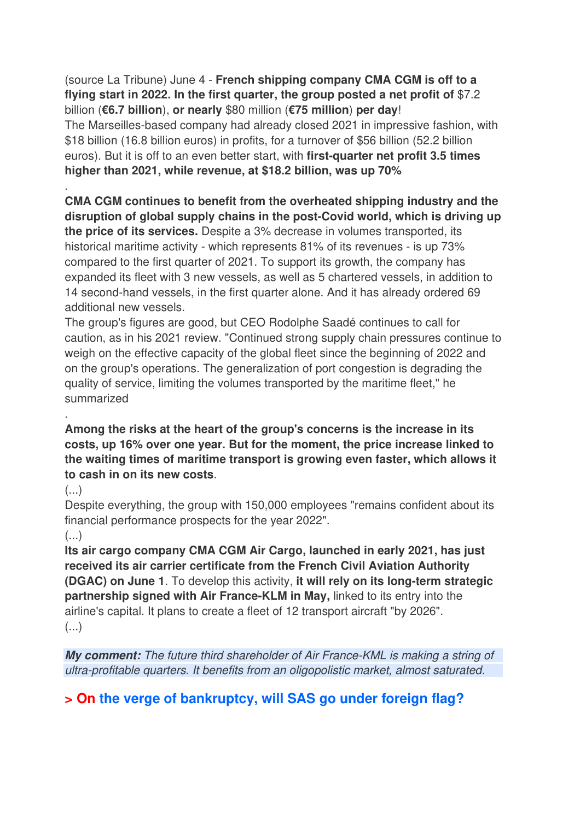(source La Tribune) June 4 - **French shipping company CMA CGM is off to a flying start in 2022. In the first quarter, the group posted a net profit of** \$7.2 billion (**€6.7 billion**), **or nearly** \$80 million (**€75 million**) **per day**! The Marseilles-based company had already closed 2021 in impressive fashion, with \$18 billion (16.8 billion euros) in profits, for a turnover of \$56 billion (52.2 billion euros). But it is off to an even better start, with **first-quarter net profit 3.5 times higher than 2021, while revenue, at \$18.2 billion, was up 70%**

**CMA CGM continues to benefit from the overheated shipping industry and the disruption of global supply chains in the post-Covid world, which is driving up the price of its services.** Despite a 3% decrease in volumes transported, its historical maritime activity - which represents 81% of its revenues - is up 73% compared to the first quarter of 2021. To support its growth, the company has expanded its fleet with 3 new vessels, as well as 5 chartered vessels, in addition to 14 second-hand vessels, in the first quarter alone. And it has already ordered 69 additional new vessels.

The group's figures are good, but CEO Rodolphe Saadé continues to call for caution, as in his 2021 review. "Continued strong supply chain pressures continue to weigh on the effective capacity of the global fleet since the beginning of 2022 and on the group's operations. The generalization of port congestion is degrading the quality of service, limiting the volumes transported by the maritime fleet," he summarized

### **Among the risks at the heart of the group's concerns is the increase in its costs, up 16% over one year. But for the moment, the price increase linked to the waiting times of maritime transport is growing even faster, which allows it to cash in on its new costs**.

 $(\ldots)$ 

.

.

Despite everything, the group with 150,000 employees "remains confident about its financial performance prospects for the year 2022".

#### (...)

**Its air cargo company CMA CGM Air Cargo, launched in early 2021, has just received its air carrier certificate from the French Civil Aviation Authority (DGAC) on June 1**. To develop this activity, **it will rely on its long-term strategic partnership signed with Air France-KLM in May,** linked to its entry into the airline's capital. It plans to create a fleet of 12 transport aircraft "by 2026". (...)

**My comment:** The future third shareholder of Air France-KML is making a string of ultra-profitable quarters. It benefits from an oligopolistic market, almost saturated.

**> On the verge of bankruptcy, will SAS go under foreign flag?**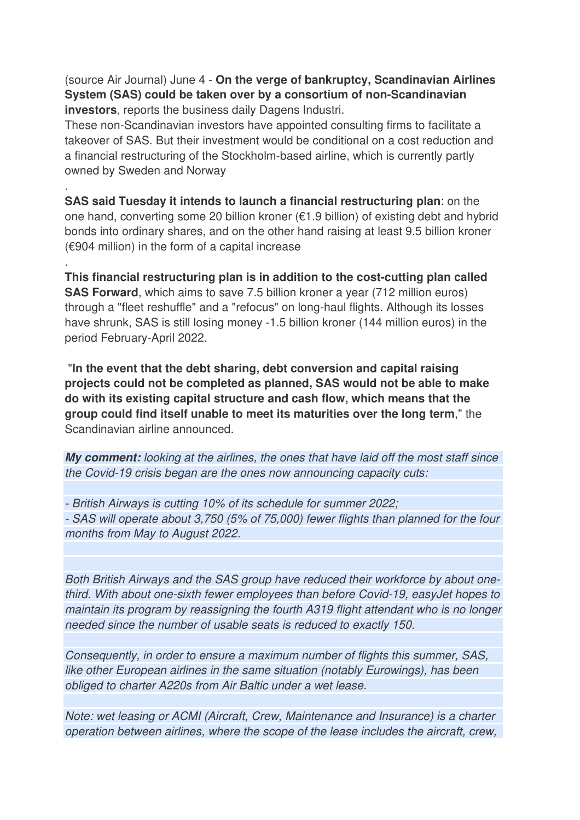(source Air Journal) June 4 - **On the verge of bankruptcy, Scandinavian Airlines System (SAS) could be taken over by a consortium of non-Scandinavian investors**, reports the business daily Dagens Industri.

These non-Scandinavian investors have appointed consulting firms to facilitate a takeover of SAS. But their investment would be conditional on a cost reduction and a financial restructuring of the Stockholm-based airline, which is currently partly owned by Sweden and Norway

.

.

**SAS said Tuesday it intends to launch a financial restructuring plan**: on the one hand, converting some 20 billion kroner (€1.9 billion) of existing debt and hybrid bonds into ordinary shares, and on the other hand raising at least 9.5 billion kroner  $(6904$  million) in the form of a capital increase

**This financial restructuring plan is in addition to the cost-cutting plan called SAS Forward**, which aims to save 7.5 billion kroner a year (712 million euros) through a "fleet reshuffle" and a "refocus" on long-haul flights. Although its losses have shrunk, SAS is still losing money -1.5 billion kroner (144 million euros) in the period February-April 2022.

 "**In the event that the debt sharing, debt conversion and capital raising projects could not be completed as planned, SAS would not be able to make do with its existing capital structure and cash flow, which means that the group could find itself unable to meet its maturities over the long term**," the Scandinavian airline announced.

**My comment:** looking at the airlines, the ones that have laid off the most staff since the Covid-19 crisis began are the ones now announcing capacity cuts:

- British Airways is cutting 10% of its schedule for summer 2022;

- SAS will operate about 3,750 (5% of 75,000) fewer flights than planned for the four months from May to August 2022.

Both British Airways and the SAS group have reduced their workforce by about onethird. With about one-sixth fewer employees than before Covid-19, easyJet hopes to maintain its program by reassigning the fourth A319 flight attendant who is no longer needed since the number of usable seats is reduced to exactly 150.

Consequently, in order to ensure a maximum number of flights this summer, SAS, like other European airlines in the same situation (notably Eurowings), has been obliged to charter A220s from Air Baltic under a wet lease.

Note: wet leasing or ACMI (Aircraft, Crew, Maintenance and Insurance) is a charter operation between airlines, where the scope of the lease includes the aircraft, crew,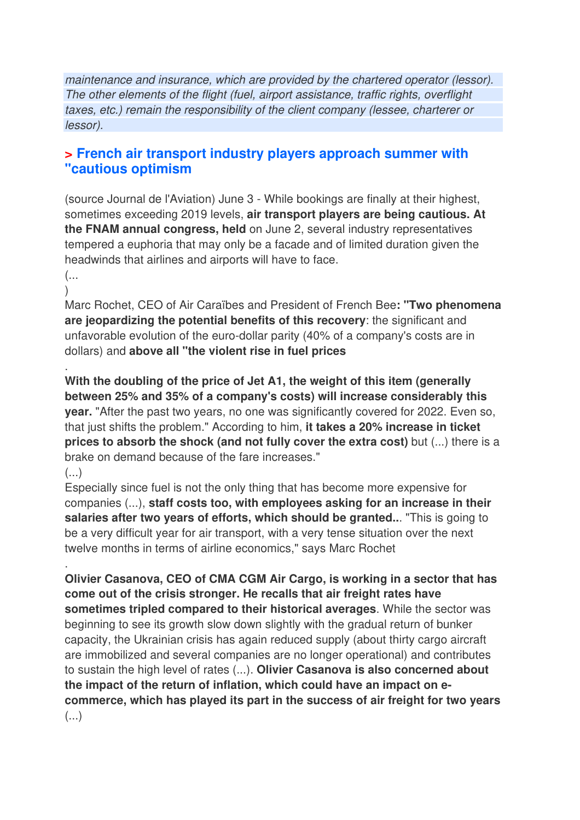maintenance and insurance, which are provided by the chartered operator (lessor). The other elements of the flight (fuel, airport assistance, traffic rights, overflight taxes, etc.) remain the responsibility of the client company (lessee, charterer or lessor).

### **> French air transport industry players approach summer with "cautious optimism**

(source Journal de l'Aviation) June 3 - While bookings are finally at their highest, sometimes exceeding 2019 levels, **air transport players are being cautious. At the FNAM annual congress, held** on June 2, several industry representatives tempered a euphoria that may only be a facade and of limited duration given the headwinds that airlines and airports will have to face.

(...  $\lambda$ 

.

Marc Rochet, CEO of Air Caraïbes and President of French Bee**: "Two phenomena are jeopardizing the potential benefits of this recovery**: the significant and unfavorable evolution of the euro-dollar parity (40% of a company's costs are in dollars) and **above all "the violent rise in fuel prices**

**With the doubling of the price of Jet A1, the weight of this item (generally between 25% and 35% of a company's costs) will increase considerably this year.** "After the past two years, no one was significantly covered for 2022. Even so, that just shifts the problem." According to him, **it takes a 20% increase in ticket prices to absorb the shock (and not fully cover the extra cost)** but (...) there is a brake on demand because of the fare increases."

(...)

.

Especially since fuel is not the only thing that has become more expensive for companies (...), **staff costs too, with employees asking for an increase in their salaries after two years of efforts, which should be granted..**. "This is going to be a very difficult year for air transport, with a very tense situation over the next twelve months in terms of airline economics," says Marc Rochet

**Olivier Casanova, CEO of CMA CGM Air Cargo, is working in a sector that has come out of the crisis stronger. He recalls that air freight rates have sometimes tripled compared to their historical averages**. While the sector was beginning to see its growth slow down slightly with the gradual return of bunker capacity, the Ukrainian crisis has again reduced supply (about thirty cargo aircraft are immobilized and several companies are no longer operational) and contributes to sustain the high level of rates (...). **Olivier Casanova is also concerned about the impact of the return of inflation, which could have an impact on ecommerce, which has played its part in the success of air freight for two years**  (...)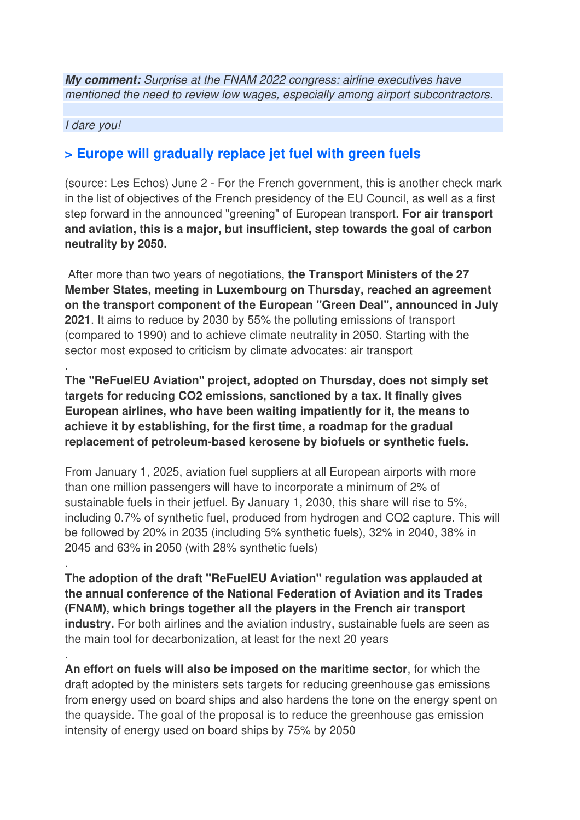**My comment:** Surprise at the FNAM 2022 congress: airline executives have mentioned the need to review low wages, especially among airport subcontractors.

#### I dare you!

.

.

.

### **> Europe will gradually replace jet fuel with green fuels**

(source: Les Echos) June 2 - For the French government, this is another check mark in the list of objectives of the French presidency of the EU Council, as well as a first step forward in the announced "greening" of European transport. **For air transport and aviation, this is a major, but insufficient, step towards the goal of carbon neutrality by 2050.** 

 After more than two years of negotiations, **the Transport Ministers of the 27 Member States, meeting in Luxembourg on Thursday, reached an agreement on the transport component of the European "Green Deal", announced in July 2021**. It aims to reduce by 2030 by 55% the polluting emissions of transport (compared to 1990) and to achieve climate neutrality in 2050. Starting with the sector most exposed to criticism by climate advocates: air transport

**The "ReFuelEU Aviation" project, adopted on Thursday, does not simply set targets for reducing CO2 emissions, sanctioned by a tax. It finally gives European airlines, who have been waiting impatiently for it, the means to achieve it by establishing, for the first time, a roadmap for the gradual replacement of petroleum-based kerosene by biofuels or synthetic fuels.** 

From January 1, 2025, aviation fuel suppliers at all European airports with more than one million passengers will have to incorporate a minimum of 2% of sustainable fuels in their jetfuel. By January 1, 2030, this share will rise to 5%, including 0.7% of synthetic fuel, produced from hydrogen and CO2 capture. This will be followed by 20% in 2035 (including 5% synthetic fuels), 32% in 2040, 38% in 2045 and 63% in 2050 (with 28% synthetic fuels)

**The adoption of the draft "ReFuelEU Aviation" regulation was applauded at the annual conference of the National Federation of Aviation and its Trades (FNAM), which brings together all the players in the French air transport industry.** For both airlines and the aviation industry, sustainable fuels are seen as the main tool for decarbonization, at least for the next 20 years

**An effort on fuels will also be imposed on the maritime sector**, for which the draft adopted by the ministers sets targets for reducing greenhouse gas emissions from energy used on board ships and also hardens the tone on the energy spent on the quayside. The goal of the proposal is to reduce the greenhouse gas emission intensity of energy used on board ships by 75% by 2050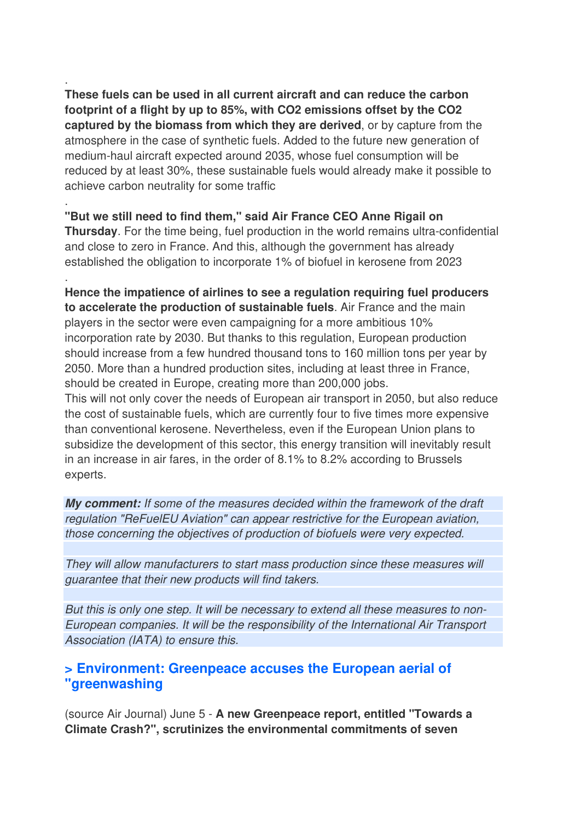**These fuels can be used in all current aircraft and can reduce the carbon footprint of a flight by up to 85%, with CO2 emissions offset by the CO2 captured by the biomass from which they are derived**, or by capture from the atmosphere in the case of synthetic fuels. Added to the future new generation of medium-haul aircraft expected around 2035, whose fuel consumption will be reduced by at least 30%, these sustainable fuels would already make it possible to achieve carbon neutrality for some traffic

.

.

.

**"But we still need to find them," said Air France CEO Anne Rigail on Thursday**. For the time being, fuel production in the world remains ultra-confidential and close to zero in France. And this, although the government has already established the obligation to incorporate 1% of biofuel in kerosene from 2023

**Hence the impatience of airlines to see a regulation requiring fuel producers to accelerate the production of sustainable fuels**. Air France and the main players in the sector were even campaigning for a more ambitious 10% incorporation rate by 2030. But thanks to this regulation, European production should increase from a few hundred thousand tons to 160 million tons per year by 2050. More than a hundred production sites, including at least three in France, should be created in Europe, creating more than 200,000 jobs.

This will not only cover the needs of European air transport in 2050, but also reduce the cost of sustainable fuels, which are currently four to five times more expensive than conventional kerosene. Nevertheless, even if the European Union plans to subsidize the development of this sector, this energy transition will inevitably result in an increase in air fares, in the order of 8.1% to 8.2% according to Brussels experts.

**My comment:** If some of the measures decided within the framework of the draft regulation "ReFuelEU Aviation" can appear restrictive for the European aviation, those concerning the objectives of production of biofuels were very expected.

They will allow manufacturers to start mass production since these measures will guarantee that their new products will find takers.

But this is only one step. It will be necessary to extend all these measures to non-European companies. It will be the responsibility of the International Air Transport Association (IATA) to ensure this.

### **> Environment: Greenpeace accuses the European aerial of "greenwashing**

(source Air Journal) June 5 - **A new Greenpeace report, entitled "Towards a Climate Crash?", scrutinizes the environmental commitments of seven**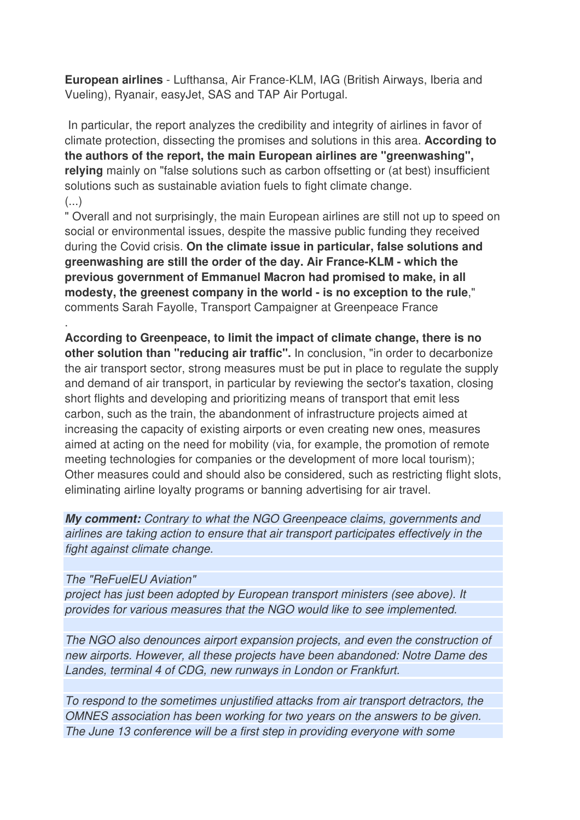**European airlines** - Lufthansa, Air France-KLM, IAG (British Airways, Iberia and Vueling), Ryanair, easyJet, SAS and TAP Air Portugal.

 In particular, the report analyzes the credibility and integrity of airlines in favor of climate protection, dissecting the promises and solutions in this area. **According to the authors of the report, the main European airlines are "greenwashing", relying** mainly on "false solutions such as carbon offsetting or (at best) insufficient solutions such as sustainable aviation fuels to fight climate change. (...)

" Overall and not surprisingly, the main European airlines are still not up to speed on social or environmental issues, despite the massive public funding they received during the Covid crisis. **On the climate issue in particular, false solutions and greenwashing are still the order of the day. Air France-KLM - which the previous government of Emmanuel Macron had promised to make, in all modesty, the greenest company in the world - is no exception to the rule**," comments Sarah Fayolle, Transport Campaigner at Greenpeace France

**According to Greenpeace, to limit the impact of climate change, there is no other solution than "reducing air traffic".** In conclusion, "in order to decarbonize the air transport sector, strong measures must be put in place to regulate the supply and demand of air transport, in particular by reviewing the sector's taxation, closing short flights and developing and prioritizing means of transport that emit less carbon, such as the train, the abandonment of infrastructure projects aimed at increasing the capacity of existing airports or even creating new ones, measures aimed at acting on the need for mobility (via, for example, the promotion of remote meeting technologies for companies or the development of more local tourism); Other measures could and should also be considered, such as restricting flight slots, eliminating airline loyalty programs or banning advertising for air travel.

**My comment:** Contrary to what the NGO Greenpeace claims, governments and airlines are taking action to ensure that air transport participates effectively in the fight against climate change.

#### The "ReFuelEU Aviation"

.

project has just been adopted by European transport ministers (see above). It provides for various measures that the NGO would like to see implemented.

The NGO also denounces airport expansion projects, and even the construction of new airports. However, all these projects have been abandoned: Notre Dame des Landes, terminal 4 of CDG, new runways in London or Frankfurt.

To respond to the sometimes unjustified attacks from air transport detractors, the OMNES association has been working for two years on the answers to be given. The June 13 conference will be a first step in providing everyone with some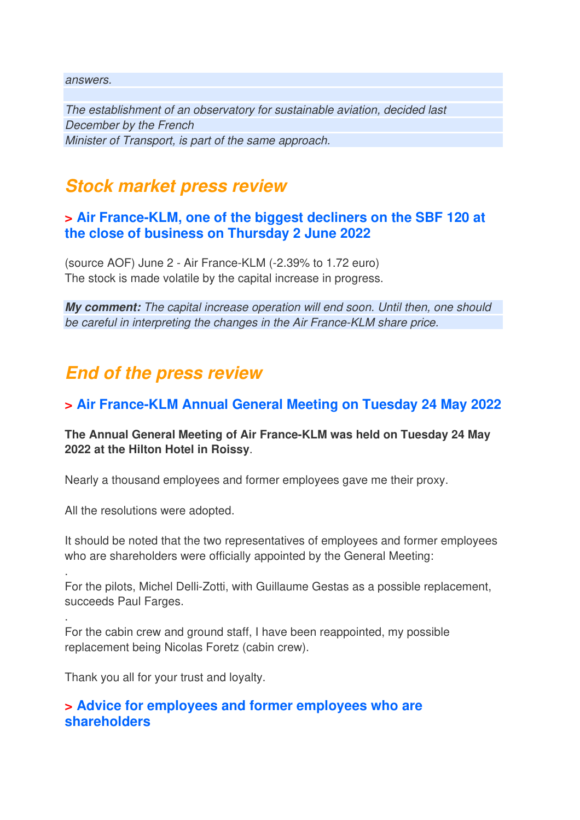answers.

The establishment of an observatory for sustainable aviation, decided last December by the French Minister of Transport, is part of the same approach.

## **Stock market press review**

### **> Air France-KLM, one of the biggest decliners on the SBF 120 at the close of business on Thursday 2 June 2022**

(source AOF) June 2 - Air France-KLM (-2.39% to 1.72 euro) The stock is made volatile by the capital increase in progress.

**My comment:** The capital increase operation will end soon. Until then, one should be careful in interpreting the changes in the Air France-KLM share price.

## **End of the press review**

## **> Air France-KLM Annual General Meeting on Tuesday 24 May 2022**

### **The Annual General Meeting of Air France-KLM was held on Tuesday 24 May 2022 at the Hilton Hotel in Roissy**.

Nearly a thousand employees and former employees gave me their proxy.

All the resolutions were adopted.

.

.

It should be noted that the two representatives of employees and former employees who are shareholders were officially appointed by the General Meeting:

For the pilots, Michel Delli-Zotti, with Guillaume Gestas as a possible replacement, succeeds Paul Farges.

For the cabin crew and ground staff, I have been reappointed, my possible replacement being Nicolas Foretz (cabin crew).

Thank you all for your trust and loyalty.

### **> Advice for employees and former employees who are shareholders**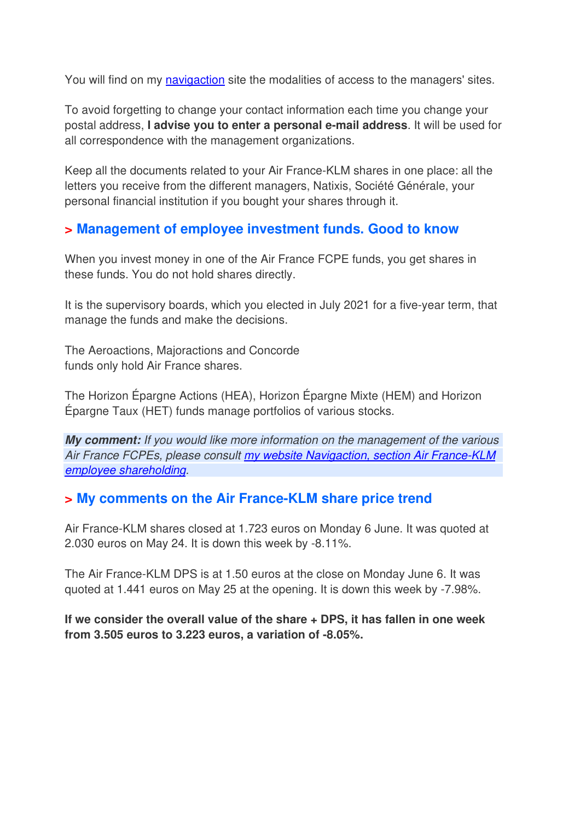You will find on my navigaction site the modalities of access to the managers' sites.

To avoid forgetting to change your contact information each time you change your postal address, **I advise you to enter a personal e-mail address**. It will be used for all correspondence with the management organizations.

Keep all the documents related to your Air France-KLM shares in one place: all the letters you receive from the different managers, Natixis, Société Générale, your personal financial institution if you bought your shares through it.

## **> Management of employee investment funds. Good to know**

When you invest money in one of the Air France FCPE funds, you get shares in these funds. You do not hold shares directly.

It is the supervisory boards, which you elected in July 2021 for a five-year term, that manage the funds and make the decisions.

The Aeroactions, Majoractions and Concorde funds only hold Air France shares.

The Horizon Épargne Actions (HEA), Horizon Épargne Mixte (HEM) and Horizon Épargne Taux (HET) funds manage portfolios of various stocks.

**My comment:** If you would like more information on the management of the various Air France FCPEs, please consult my website Navigaction, section Air France-KLM employee shareholding.

### **> My comments on the Air France-KLM share price trend**

Air France-KLM shares closed at 1.723 euros on Monday 6 June. It was quoted at 2.030 euros on May 24. It is down this week by -8.11%.

The Air France-KLM DPS is at 1.50 euros at the close on Monday June 6. It was quoted at 1.441 euros on May 25 at the opening. It is down this week by -7.98%.

**If we consider the overall value of the share + DPS, it has fallen in one week from 3.505 euros to 3.223 euros, a variation of -8.05%.**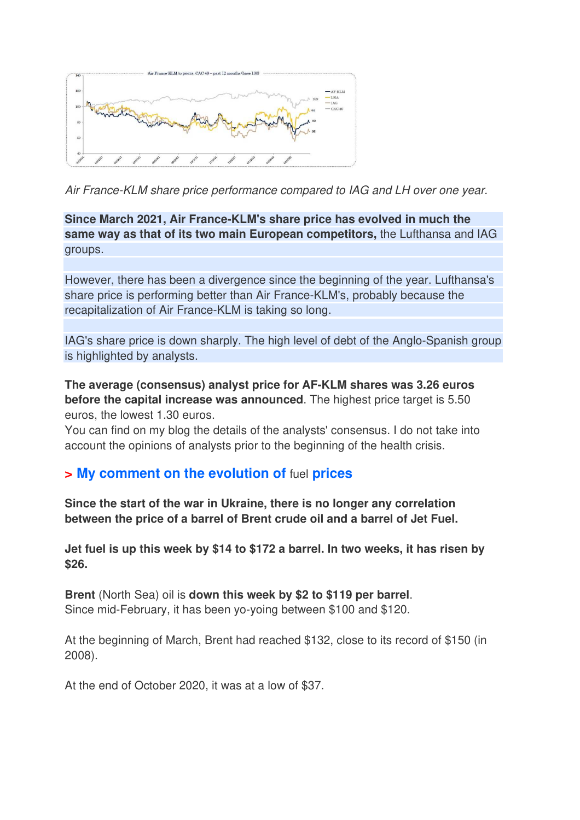

Air France-KLM share price performance compared to IAG and LH over one year.

**Since March 2021, Air France-KLM's share price has evolved in much the same way as that of its two main European competitors,** the Lufthansa and IAG groups.

However, there has been a divergence since the beginning of the year. Lufthansa's share price is performing better than Air France-KLM's, probably because the recapitalization of Air France-KLM is taking so long.

IAG's share price is down sharply. The high level of debt of the Anglo-Spanish group is highlighted by analysts.

**The average (consensus) analyst price for AF-KLM shares was 3.26 euros before the capital increase was announced**. The highest price target is 5.50 euros, the lowest 1.30 euros.

You can find on my blog the details of the analysts' consensus. I do not take into account the opinions of analysts prior to the beginning of the health crisis.

### **> My comment on the evolution of** fuel **prices**

**Since the start of the war in Ukraine, there is no longer any correlation between the price of a barrel of Brent crude oil and a barrel of Jet Fuel.** 

**Jet fuel is up this week by \$14 to \$172 a barrel. In two weeks, it has risen by \$26.** 

**Brent** (North Sea) oil is **down this week by \$2 to \$119 per barrel**. Since mid-February, it has been yo-yoing between \$100 and \$120.

At the beginning of March, Brent had reached \$132, close to its record of \$150 (in 2008).

At the end of October 2020, it was at a low of \$37.